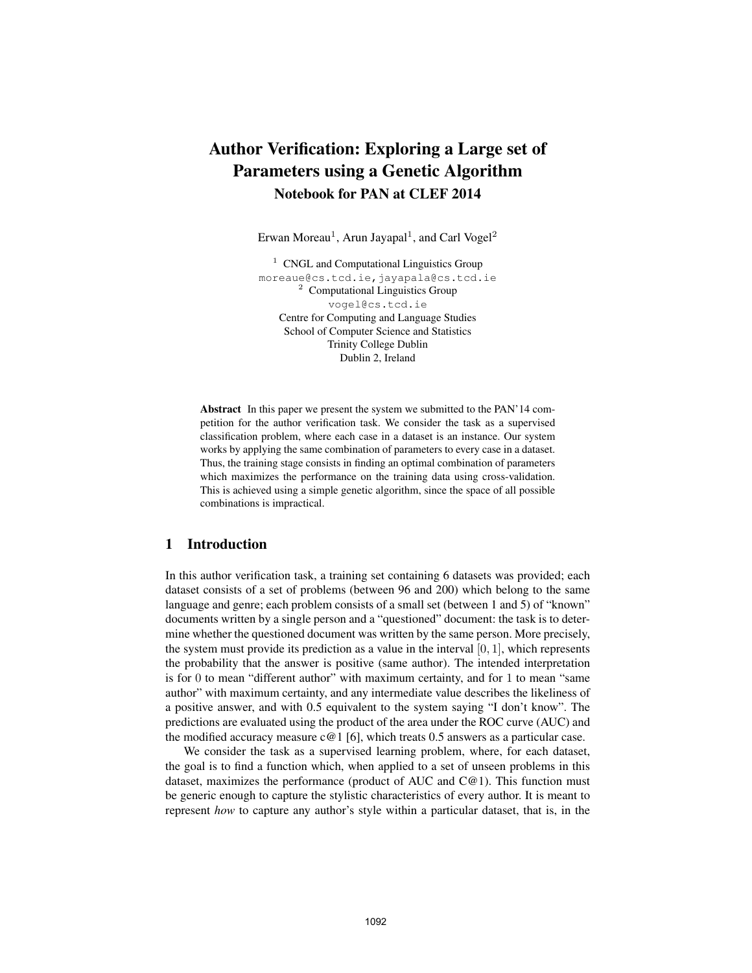# Author Verification: Exploring a Large set of Parameters using a Genetic Algorithm Notebook for PAN at CLEF 2014

Erwan Moreau<sup>1</sup>, Arun Jayapal<sup>1</sup>, and Carl Vogel<sup>2</sup>

 $1$  CNGL and Computational Linguistics Group moreaue@cs.tcd.ie,jayapala@cs.tcd.ie <sup>2</sup> Computational Linguistics Group vogel@cs.tcd.ie Centre for Computing and Language Studies School of Computer Science and Statistics Trinity College Dublin Dublin 2, Ireland

Abstract In this paper we present the system we submitted to the PAN'14 competition for the author verification task. We consider the task as a supervised classification problem, where each case in a dataset is an instance. Our system works by applying the same combination of parameters to every case in a dataset. Thus, the training stage consists in finding an optimal combination of parameters which maximizes the performance on the training data using cross-validation. This is achieved using a simple genetic algorithm, since the space of all possible combinations is impractical.

# 1 Introduction

In this author verification task, a training set containing 6 datasets was provided; each dataset consists of a set of problems (between 96 and 200) which belong to the same language and genre; each problem consists of a small set (between 1 and 5) of "known" documents written by a single person and a "questioned" document: the task is to determine whether the questioned document was written by the same person. More precisely, the system must provide its prediction as a value in the interval  $[0, 1]$ , which represents the probability that the answer is positive (same author). The intended interpretation is for 0 to mean "different author" with maximum certainty, and for 1 to mean "same author" with maximum certainty, and any intermediate value describes the likeliness of a positive answer, and with 0.5 equivalent to the system saying "I don't know". The predictions are evaluated using the product of the area under the ROC curve (AUC) and the modified accuracy measure  $c@1$  [6], which treats 0.5 answers as a particular case.

We consider the task as a supervised learning problem, where, for each dataset, the goal is to find a function which, when applied to a set of unseen problems in this dataset, maximizes the performance (product of AUC and  $C@1$ ). This function must be generic enough to capture the stylistic characteristics of every author. It is meant to represent *how* to capture any author's style within a particular dataset, that is, in the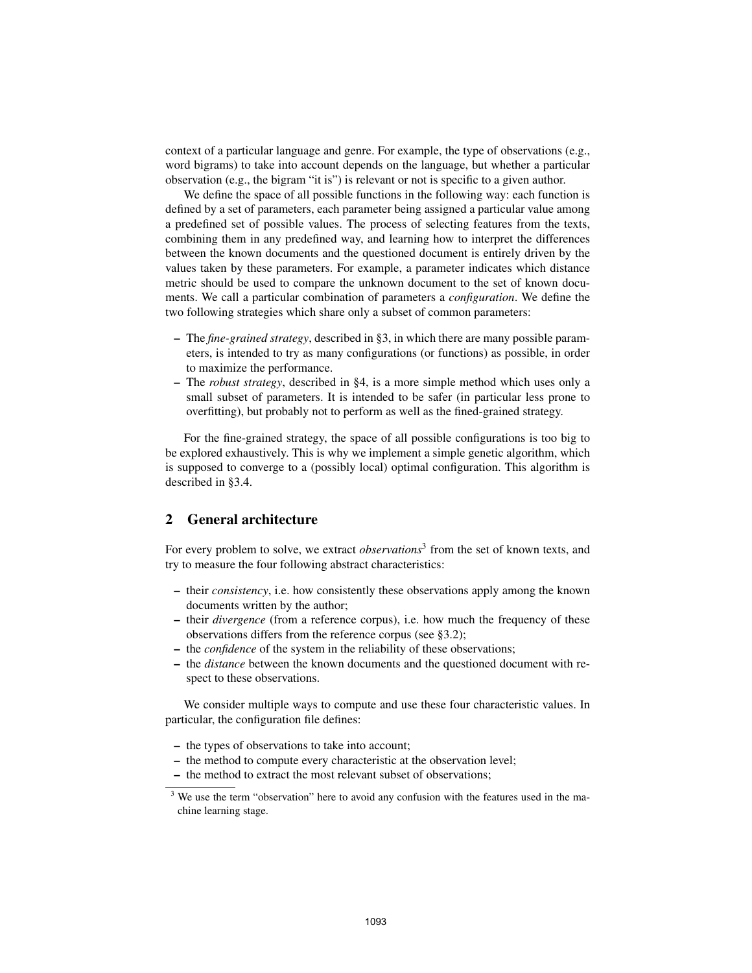context of a particular language and genre. For example, the type of observations (e.g., word bigrams) to take into account depends on the language, but whether a particular observation (e.g., the bigram "it is") is relevant or not is specific to a given author.

We define the space of all possible functions in the following way: each function is defined by a set of parameters, each parameter being assigned a particular value among a predefined set of possible values. The process of selecting features from the texts, combining them in any predefined way, and learning how to interpret the differences between the known documents and the questioned document is entirely driven by the values taken by these parameters. For example, a parameter indicates which distance metric should be used to compare the unknown document to the set of known documents. We call a particular combination of parameters a *configuration*. We define the two following strategies which share only a subset of common parameters:

- The *fine-grained strategy*, described in §3, in which there are many possible parameters, is intended to try as many configurations (or functions) as possible, in order to maximize the performance.
- The *robust strategy*, described in §4, is a more simple method which uses only a small subset of parameters. It is intended to be safer (in particular less prone to overfitting), but probably not to perform as well as the fined-grained strategy.

For the fine-grained strategy, the space of all possible configurations is too big to be explored exhaustively. This is why we implement a simple genetic algorithm, which is supposed to converge to a (possibly local) optimal configuration. This algorithm is described in §3.4.

# 2 General architecture

For every problem to solve, we extract *observations*<sup>3</sup> from the set of known texts, and try to measure the four following abstract characteristics:

- their *consistency*, i.e. how consistently these observations apply among the known documents written by the author;
- their *divergence* (from a reference corpus), i.e. how much the frequency of these observations differs from the reference corpus (see §3.2);
- the *confidence* of the system in the reliability of these observations;
- the *distance* between the known documents and the questioned document with respect to these observations.

We consider multiple ways to compute and use these four characteristic values. In particular, the configuration file defines:

- the types of observations to take into account;
- the method to compute every characteristic at the observation level;
- the method to extract the most relevant subset of observations;

<sup>&</sup>lt;sup>3</sup> We use the term "observation" here to avoid any confusion with the features used in the machine learning stage.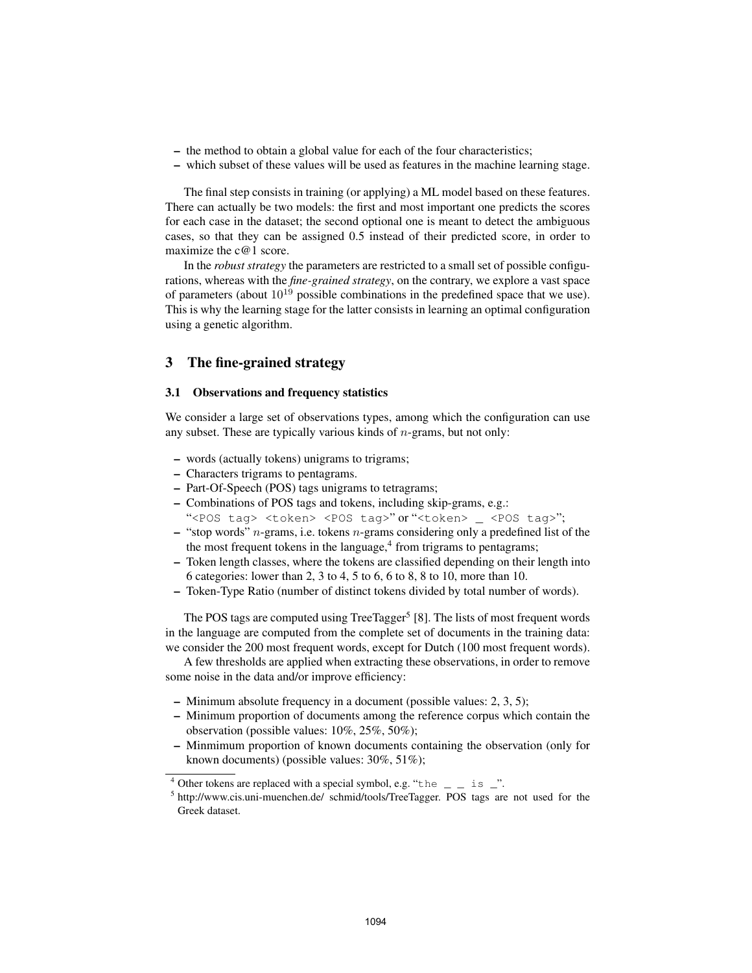- the method to obtain a global value for each of the four characteristics;
- which subset of these values will be used as features in the machine learning stage.

The final step consists in training (or applying) a ML model based on these features. There can actually be two models: the first and most important one predicts the scores for each case in the dataset; the second optional one is meant to detect the ambiguous cases, so that they can be assigned 0.5 instead of their predicted score, in order to maximize the c@1 score.

In the *robust strategy* the parameters are restricted to a small set of possible configurations, whereas with the *fine-grained strategy*, on the contrary, we explore a vast space of parameters (about  $10^{19}$  possible combinations in the predefined space that we use). This is why the learning stage for the latter consists in learning an optimal configuration using a genetic algorithm.

### 3 The fine-grained strategy

### 3.1 Observations and frequency statistics

We consider a large set of observations types, among which the configuration can use any subset. These are typically various kinds of  $n$ -grams, but not only:

- words (actually tokens) unigrams to trigrams;
- Characters trigrams to pentagrams.
- Part-Of-Speech (POS) tags unigrams to tetragrams;
- Combinations of POS tags and tokens, including skip-grams, e.g.:
- "<POS tag> <token> <POS tag>"or "<token> \_ <POS tag>";
- $-$  "stop words" *n*-grams, i.e. tokens *n*-grams considering only a predefined list of the the most frequent tokens in the language,<sup>4</sup> from trigrams to pentagrams;
- Token length classes, where the tokens are classified depending on their length into 6 categories: lower than 2, 3 to 4, 5 to 6, 6 to 8, 8 to 10, more than 10.
- Token-Type Ratio (number of distinct tokens divided by total number of words).

The POS tags are computed using TreeTagger<sup>5</sup> [8]. The lists of most frequent words in the language are computed from the complete set of documents in the training data: we consider the 200 most frequent words, except for Dutch (100 most frequent words).

A few thresholds are applied when extracting these observations, in order to remove some noise in the data and/or improve efficiency:

- Minimum absolute frequency in a document (possible values: 2, 3, 5);
- Minimum proportion of documents among the reference corpus which contain the observation (possible values: 10%, 25%, 50%);
- Minmimum proportion of known documents containing the observation (only for known documents) (possible values: 30%, 51%);

<sup>&</sup>lt;sup>4</sup> Other tokens are replaced with a special symbol, e.g. "the  $\qquad$  is  $\rightharpoonup$ ".

<sup>&</sup>lt;sup>5</sup> http://www.cis.uni-muenchen.de/ schmid/tools/TreeTagger. POS tags are not used for the Greek dataset.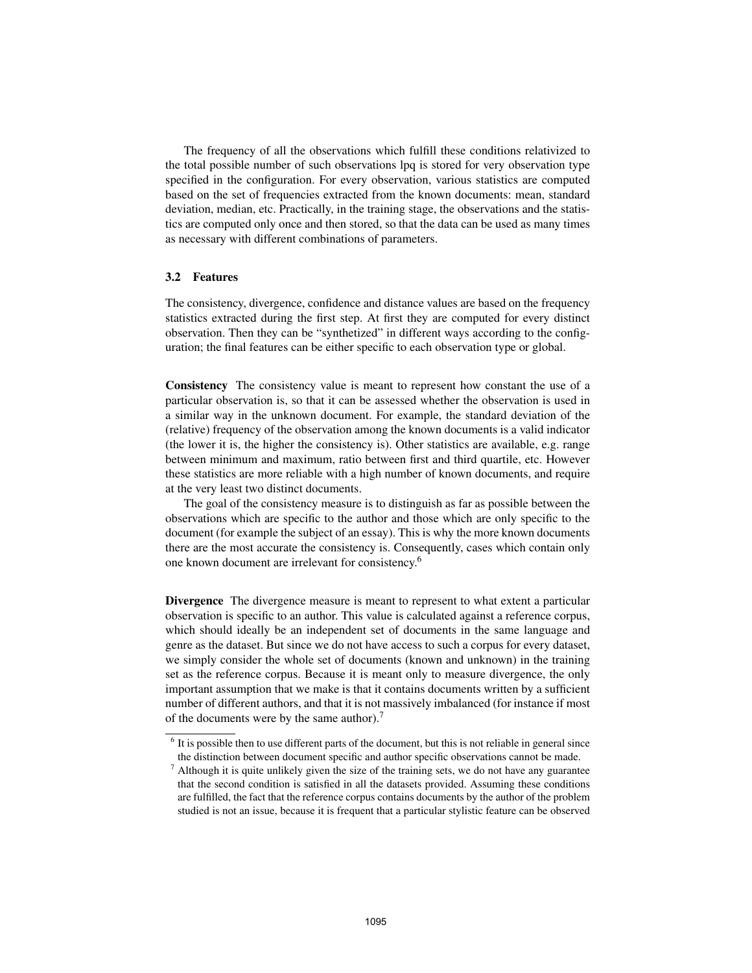The frequency of all the observations which fulfill these conditions relativized to the total possible number of such observations lpq is stored for very observation type specified in the configuration. For every observation, various statistics are computed based on the set of frequencies extracted from the known documents: mean, standard deviation, median, etc. Practically, in the training stage, the observations and the statistics are computed only once and then stored, so that the data can be used as many times as necessary with different combinations of parameters.

## 3.2 Features

The consistency, divergence, confidence and distance values are based on the frequency statistics extracted during the first step. At first they are computed for every distinct observation. Then they can be "synthetized" in different ways according to the configuration; the final features can be either specific to each observation type or global.

Consistency The consistency value is meant to represent how constant the use of a particular observation is, so that it can be assessed whether the observation is used in a similar way in the unknown document. For example, the standard deviation of the (relative) frequency of the observation among the known documents is a valid indicator (the lower it is, the higher the consistency is). Other statistics are available, e.g. range between minimum and maximum, ratio between first and third quartile, etc. However these statistics are more reliable with a high number of known documents, and require at the very least two distinct documents.

The goal of the consistency measure is to distinguish as far as possible between the observations which are specific to the author and those which are only specific to the document (for example the subject of an essay). This is why the more known documents there are the most accurate the consistency is. Consequently, cases which contain only one known document are irrelevant for consistency.<sup>6</sup>

Divergence The divergence measure is meant to represent to what extent a particular observation is specific to an author. This value is calculated against a reference corpus, which should ideally be an independent set of documents in the same language and genre as the dataset. But since we do not have access to such a corpus for every dataset, we simply consider the whole set of documents (known and unknown) in the training set as the reference corpus. Because it is meant only to measure divergence, the only important assumption that we make is that it contains documents written by a sufficient number of different authors, and that it is not massively imbalanced (for instance if most of the documents were by the same author).<sup>7</sup>

<sup>&</sup>lt;sup>6</sup> It is possible then to use different parts of the document, but this is not reliable in general since the distinction between document specific and author specific observations cannot be made.

 $<sup>7</sup>$  Although it is quite unlikely given the size of the training sets, we do not have any guarantee</sup> that the second condition is satisfied in all the datasets provided. Assuming these conditions are fulfilled, the fact that the reference corpus contains documents by the author of the problem studied is not an issue, because it is frequent that a particular stylistic feature can be observed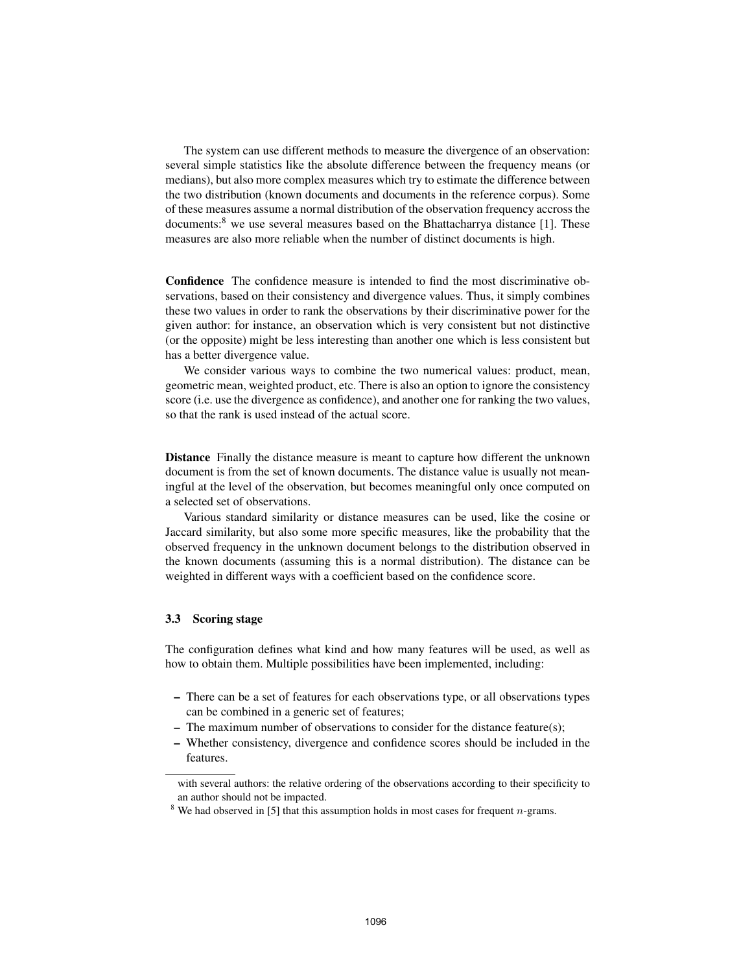The system can use different methods to measure the divergence of an observation: several simple statistics like the absolute difference between the frequency means (or medians), but also more complex measures which try to estimate the difference between the two distribution (known documents and documents in the reference corpus). Some of these measures assume a normal distribution of the observation frequency accross the documents: $8$  we use several measures based on the Bhattacharrya distance [1]. These measures are also more reliable when the number of distinct documents is high.

Confidence The confidence measure is intended to find the most discriminative observations, based on their consistency and divergence values. Thus, it simply combines these two values in order to rank the observations by their discriminative power for the given author: for instance, an observation which is very consistent but not distinctive (or the opposite) might be less interesting than another one which is less consistent but has a better divergence value.

We consider various ways to combine the two numerical values: product, mean, geometric mean, weighted product, etc. There is also an option to ignore the consistency score (i.e. use the divergence as confidence), and another one for ranking the two values, so that the rank is used instead of the actual score.

Distance Finally the distance measure is meant to capture how different the unknown document is from the set of known documents. The distance value is usually not meaningful at the level of the observation, but becomes meaningful only once computed on a selected set of observations.

Various standard similarity or distance measures can be used, like the cosine or Jaccard similarity, but also some more specific measures, like the probability that the observed frequency in the unknown document belongs to the distribution observed in the known documents (assuming this is a normal distribution). The distance can be weighted in different ways with a coefficient based on the confidence score.

#### 3.3 Scoring stage

The configuration defines what kind and how many features will be used, as well as how to obtain them. Multiple possibilities have been implemented, including:

- There can be a set of features for each observations type, or all observations types can be combined in a generic set of features;
- The maximum number of observations to consider for the distance feature(s);
- Whether consistency, divergence and confidence scores should be included in the features.

with several authors: the relative ordering of the observations according to their specificity to an author should not be impacted.

<sup>&</sup>lt;sup>8</sup> We had observed in [5] that this assumption holds in most cases for frequent  $n$ -grams.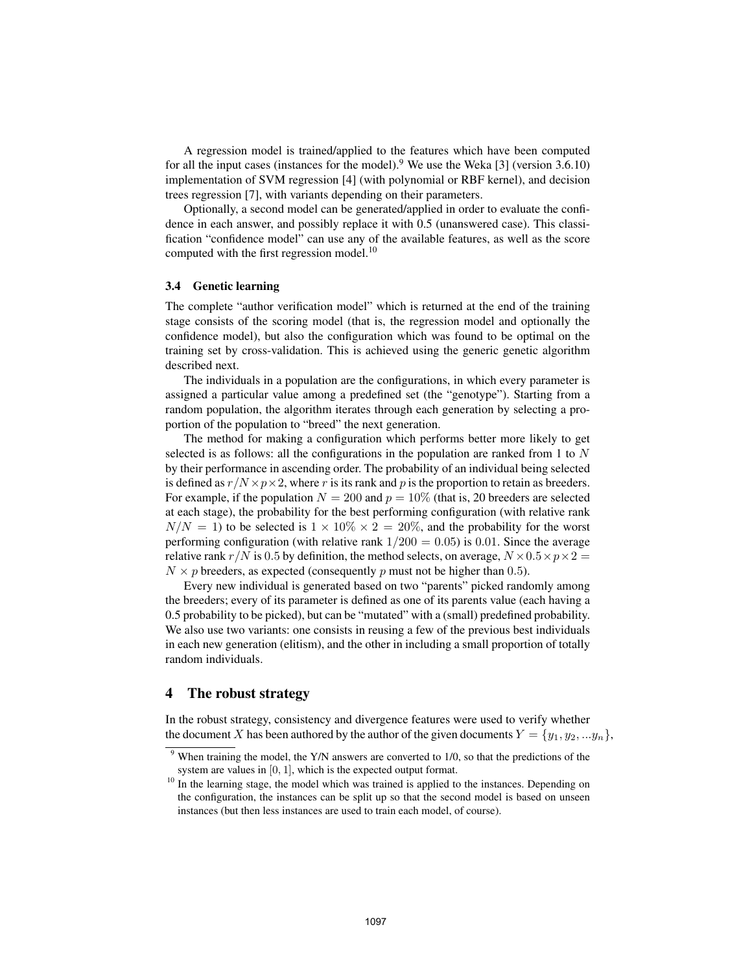A regression model is trained/applied to the features which have been computed for all the input cases (instances for the model).<sup>9</sup> We use the Weka [3] (version 3.6.10) implementation of SVM regression [4] (with polynomial or RBF kernel), and decision trees regression [7], with variants depending on their parameters.

Optionally, a second model can be generated/applied in order to evaluate the confidence in each answer, and possibly replace it with 0.5 (unanswered case). This classification "confidence model" can use any of the available features, as well as the score computed with the first regression model.<sup>10</sup>

### 3.4 Genetic learning

The complete "author verification model" which is returned at the end of the training stage consists of the scoring model (that is, the regression model and optionally the confidence model), but also the configuration which was found to be optimal on the training set by cross-validation. This is achieved using the generic genetic algorithm described next.

The individuals in a population are the configurations, in which every parameter is assigned a particular value among a predefined set (the "genotype"). Starting from a random population, the algorithm iterates through each generation by selecting a proportion of the population to "breed" the next generation.

The method for making a configuration which performs better more likely to get selected is as follows: all the configurations in the population are ranked from 1 to  $N$ by their performance in ascending order. The probability of an individual being selected is defined as  $r/N \times p \times 2$ , where r is its rank and p is the proportion to retain as breeders. For example, if the population  $N = 200$  and  $p = 10\%$  (that is, 20 breeders are selected at each stage), the probability for the best performing configuration (with relative rank  $N/N = 1$ ) to be selected is  $1 \times 10\% \times 2 = 20\%$ , and the probability for the worst performing configuration (with relative rank  $1/200 = 0.05$ ) is 0.01. Since the average relative rank  $r/N$  is 0.5 by definition, the method selects, on average,  $N \times 0.5 \times p \times 2 =$  $N \times p$  breeders, as expected (consequently p must not be higher than 0.5).

Every new individual is generated based on two "parents" picked randomly among the breeders; every of its parameter is defined as one of its parents value (each having a 0.5 probability to be picked), but can be "mutated" with a (small) predefined probability. We also use two variants: one consists in reusing a few of the previous best individuals in each new generation (elitism), and the other in including a small proportion of totally random individuals.

### 4 The robust strategy

In the robust strategy, consistency and divergence features were used to verify whether the document X has been authored by the author of the given documents  $Y = \{y_1, y_2, \ldots y_n\}$ ,

 $9$  When training the model, the Y/N answers are converted to 1/0, so that the predictions of the system are values in [0, 1], which is the expected output format.

<sup>&</sup>lt;sup>10</sup> In the learning stage, the model which was trained is applied to the instances. Depending on the configuration, the instances can be split up so that the second model is based on unseen instances (but then less instances are used to train each model, of course).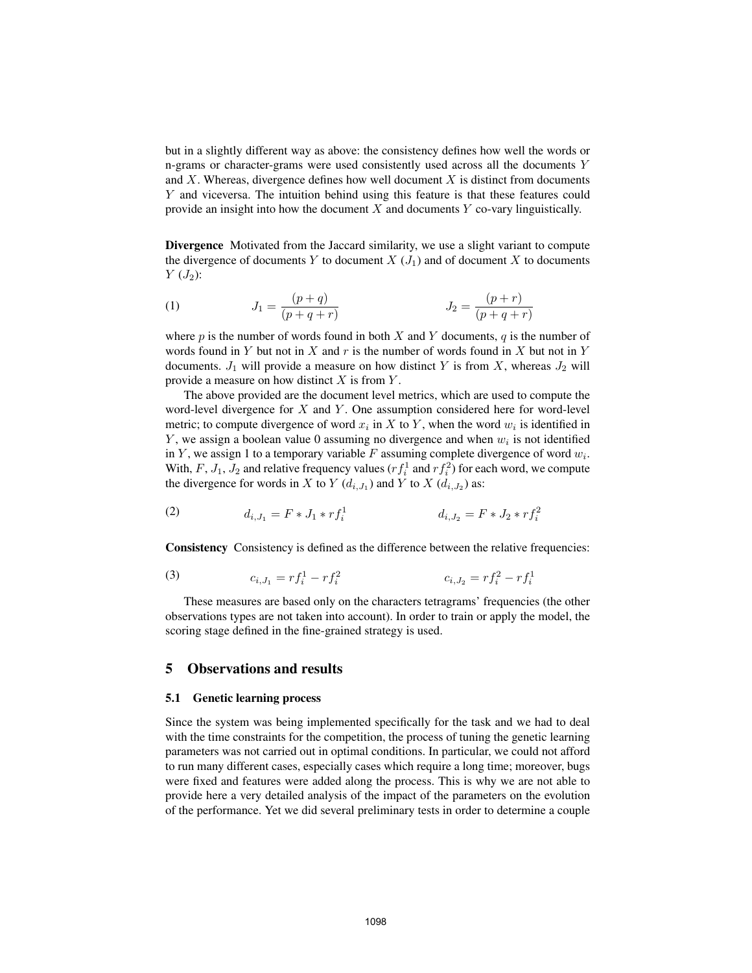but in a slightly different way as above: the consistency defines how well the words or n-grams or character-grams were used consistently used across all the documents Y and  $X$ . Whereas, divergence defines how well document  $X$  is distinct from documents Y and viceversa. The intuition behind using this feature is that these features could provide an insight into how the document  $X$  and documents  $Y$  co-vary linguistically.

Divergence Motivated from the Jaccard similarity, we use a slight variant to compute the divergence of documents Y to document  $X(J_1)$  and of document X to documents  $Y(J_2)$ :

(1) 
$$
J_1 = \frac{(p+q)}{(p+q+r)} \qquad J_2 = \frac{(p+r)}{(p+q+r)}
$$

where  $p$  is the number of words found in both  $X$  and  $Y$  documents,  $q$  is the number of words found in Y but not in X and  $r$  is the number of words found in X but not in Y documents.  $J_1$  will provide a measure on how distinct Y is from X, whereas  $J_2$  will provide a measure on how distinct  $X$  is from  $Y$ .

The above provided are the document level metrics, which are used to compute the word-level divergence for  $X$  and  $Y$ . One assumption considered here for word-level metric; to compute divergence of word  $x_i$  in X to Y, when the word  $w_i$  is identified in Y, we assign a boolean value 0 assuming no divergence and when  $w_i$  is not identified in Y, we assign 1 to a temporary variable F assuming complete divergence of word  $w_i$ . With, F,  $J_1$ ,  $J_2$  and relative frequency values  $(r f_i^1$  and  $r f_i^2)$  for each word, we compute the divergence for words in X to Y  $(d_{i,J_1})$  and Y to X  $(d_{i,J_2})$  as:

(2) 
$$
d_{i,J_1} = F * J_1 * rf_i^1 \qquad d_{i,J_2} = F * J_2 * rf_i^2
$$

Consistency Consistency is defined as the difference between the relative frequencies:

(3) 
$$
c_{i,J_1} = rf_i^1 - rf_i^2 \qquad c_{i,J_2} = rf_i^2 - rf_i^1
$$

These measures are based only on the characters tetragrams' frequencies (the other observations types are not taken into account). In order to train or apply the model, the scoring stage defined in the fine-grained strategy is used.

# 5 Observations and results

### 5.1 Genetic learning process

Since the system was being implemented specifically for the task and we had to deal with the time constraints for the competition, the process of tuning the genetic learning parameters was not carried out in optimal conditions. In particular, we could not afford to run many different cases, especially cases which require a long time; moreover, bugs were fixed and features were added along the process. This is why we are not able to provide here a very detailed analysis of the impact of the parameters on the evolution of the performance. Yet we did several preliminary tests in order to determine a couple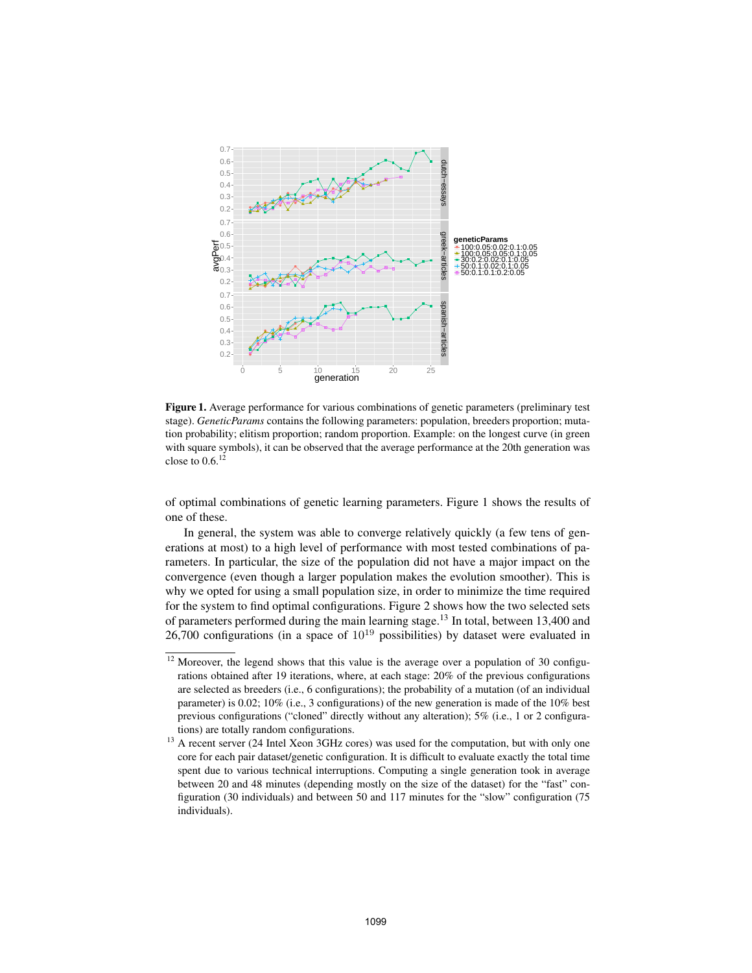

Figure 1. Average performance for various combinations of genetic parameters (preliminary test stage). *GeneticParams* contains the following parameters: population, breeders proportion; mutation probability; elitism proportion; random proportion. Example: on the longest curve (in green with square symbols), it can be observed that the average performance at the 20th generation was close to  $0.6$ <sup>12</sup>

of optimal combinations of genetic learning parameters. Figure 1 shows the results of one of these.

In general, the system was able to converge relatively quickly (a few tens of generations at most) to a high level of performance with most tested combinations of parameters. In particular, the size of the population did not have a major impact on the convergence (even though a larger population makes the evolution smoother). This is why we opted for using a small population size, in order to minimize the time required for the system to find optimal configurations. Figure 2 shows how the two selected sets of parameters performed during the main learning stage.<sup>13</sup> In total, between 13,400 and 26,700 configurations (in a space of  $10^{19}$  possibilities) by dataset were evaluated in

<sup>&</sup>lt;sup>12</sup> Moreover, the legend shows that this value is the average over a population of 30 configurations obtained after 19 iterations, where, at each stage: 20% of the previous configurations are selected as breeders (i.e., 6 configurations); the probability of a mutation (of an individual parameter) is 0.02; 10% (i.e., 3 configurations) of the new generation is made of the 10% best previous configurations ("cloned" directly without any alteration); 5% (i.e., 1 or 2 configurations) are totally random configurations.

<sup>&</sup>lt;sup>13</sup> A recent server (24 Intel Xeon 3GHz cores) was used for the computation, but with only one core for each pair dataset/genetic configuration. It is difficult to evaluate exactly the total time spent due to various technical interruptions. Computing a single generation took in average between 20 and 48 minutes (depending mostly on the size of the dataset) for the "fast" configuration (30 individuals) and between 50 and 117 minutes for the "slow" configuration (75 individuals).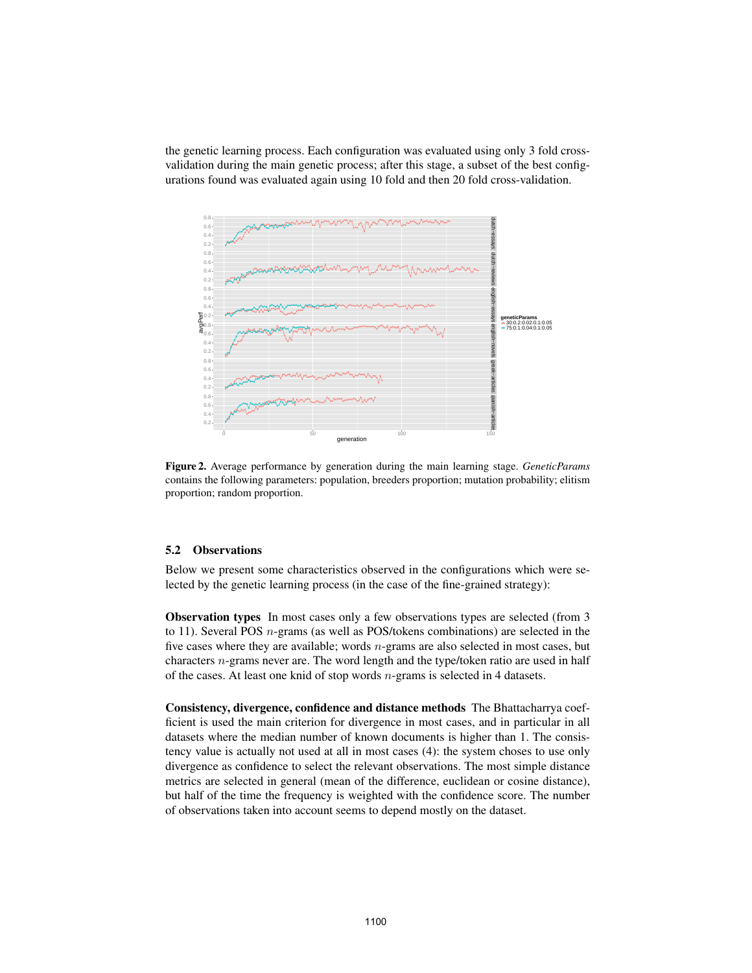the genetic learning process. Each configuration was evaluated using only 3 fold crossvalidation during the main genetic process; after this stage, a subset of the best configurations found was evaluated again using 10 fold and then 20 fold cross-validation.



Figure 2. Average performance by generation during the main learning stage. *GeneticParams* contains the following parameters: population, breeders proportion; mutation probability; elitism proportion; random proportion.

### 5.2 Observations

Below we present some characteristics observed in the configurations which were selected by the genetic learning process (in the case of the fine-grained strategy):

Observation types In most cases only a few observations types are selected (from 3 to 11). Several POS n-grams (as well as POS/tokens combinations) are selected in the five cases where they are available; words  $n$ -grams are also selected in most cases, but characters n-grams never are. The word length and the type/token ratio are used in half of the cases. At least one knid of stop words  $n$ -grams is selected in 4 datasets.

Consistency, divergence, confidence and distance methods The Bhattacharrya coefficient is used the main criterion for divergence in most cases, and in particular in all datasets where the median number of known documents is higher than 1. The consistency value is actually not used at all in most cases (4): the system choses to use only divergence as confidence to select the relevant observations. The most simple distance metrics are selected in general (mean of the difference, euclidean or cosine distance), but half of the time the frequency is weighted with the confidence score. The number of observations taken into account seems to depend mostly on the dataset.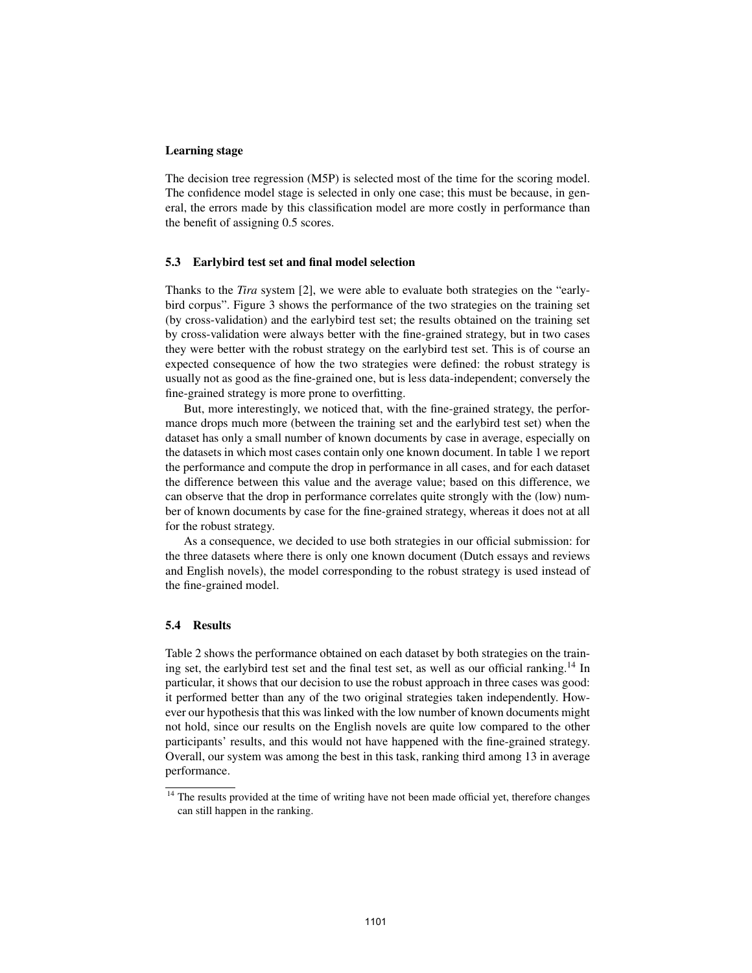#### Learning stage

The decision tree regression (M5P) is selected most of the time for the scoring model. The confidence model stage is selected in only one case; this must be because, in general, the errors made by this classification model are more costly in performance than the benefit of assigning 0.5 scores.

### 5.3 Earlybird test set and final model selection

Thanks to the *Tira* system [2], we were able to evaluate both strategies on the "earlybird corpus". Figure 3 shows the performance of the two strategies on the training set (by cross-validation) and the earlybird test set; the results obtained on the training set by cross-validation were always better with the fine-grained strategy, but in two cases they were better with the robust strategy on the earlybird test set. This is of course an expected consequence of how the two strategies were defined: the robust strategy is usually not as good as the fine-grained one, but is less data-independent; conversely the fine-grained strategy is more prone to overfitting.

But, more interestingly, we noticed that, with the fine-grained strategy, the performance drops much more (between the training set and the earlybird test set) when the dataset has only a small number of known documents by case in average, especially on the datasets in which most cases contain only one known document. In table 1 we report the performance and compute the drop in performance in all cases, and for each dataset the difference between this value and the average value; based on this difference, we can observe that the drop in performance correlates quite strongly with the (low) number of known documents by case for the fine-grained strategy, whereas it does not at all for the robust strategy.

As a consequence, we decided to use both strategies in our official submission: for the three datasets where there is only one known document (Dutch essays and reviews and English novels), the model corresponding to the robust strategy is used instead of the fine-grained model.

### 5.4 Results

Table 2 shows the performance obtained on each dataset by both strategies on the training set, the earlybird test set and the final test set, as well as our official ranking.<sup>14</sup> In particular, it shows that our decision to use the robust approach in three cases was good: it performed better than any of the two original strategies taken independently. However our hypothesis that this was linked with the low number of known documents might not hold, since our results on the English novels are quite low compared to the other participants' results, and this would not have happened with the fine-grained strategy. Overall, our system was among the best in this task, ranking third among 13 in average performance.

<sup>&</sup>lt;sup>14</sup> The results provided at the time of writing have not been made official yet, therefore changes can still happen in the ranking.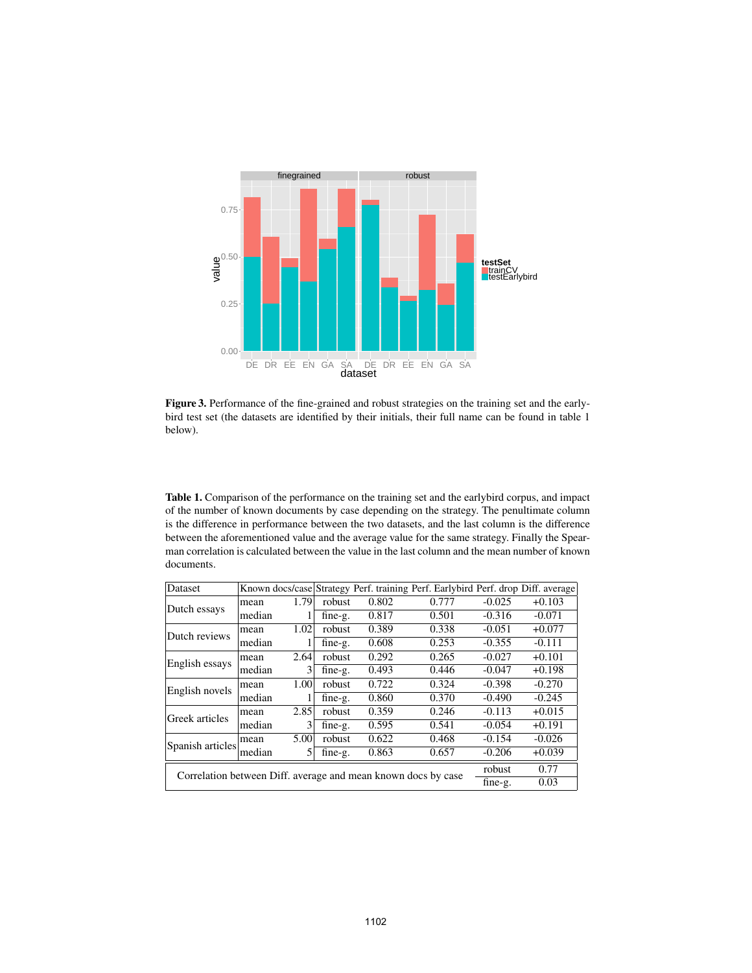

Figure 3. Performance of the fine-grained and robust strategies on the training set and the earlybird test set (the datasets are identified by their initials, their full name can be found in table 1 below).

Table 1. Comparison of the performance on the training set and the earlybird corpus, and impact of the number of known documents by case depending on the strategy. The penultimate column is the difference in performance between the two datasets, and the last column is the difference between the aforementioned value and the average value for the same strategy. Finally the Spearman correlation is calculated between the value in the last column and the mean number of known documents.

| Dataset                                           |                                                                                                                                  |      |         |       | Known docs/case Strategy Perf. training Perf. Earlybird Perf. drop Diff. average |          |          |
|---------------------------------------------------|----------------------------------------------------------------------------------------------------------------------------------|------|---------|-------|----------------------------------------------------------------------------------|----------|----------|
| Dutch essays                                      | mean                                                                                                                             | 1.79 | robust  | 0.802 | 0.777                                                                            | $-0.025$ | $+0.103$ |
|                                                   | median                                                                                                                           |      | fine-g. | 0.817 | 0.501                                                                            | $-0.316$ | $-0.071$ |
|                                                   | mean                                                                                                                             | 1.02 | robust  | 0.389 | 0.338                                                                            | $-0.051$ | $+0.077$ |
| Dutch reviews<br>English essays<br>English novels | median                                                                                                                           | L    | fine-g. | 0.608 | 0.253                                                                            | $-0.355$ | $-0.111$ |
|                                                   | mean                                                                                                                             | 2.64 | robust  | 0.292 | 0.265                                                                            | $-0.027$ | $+0.101$ |
|                                                   | median                                                                                                                           | 3    | fine-g. | 0.493 | 0.446                                                                            | $-0.047$ | $+0.198$ |
|                                                   | mean                                                                                                                             | 1.00 | robust  | 0.722 | 0.324                                                                            | $-0.398$ | $-0.270$ |
|                                                   | median                                                                                                                           |      | fine-g. | 0.860 | 0.370                                                                            | $-0.490$ | $-0.245$ |
| Greek articles                                    | mean                                                                                                                             | 2.85 | robust  | 0.359 | 0.246                                                                            | $-0.113$ | $+0.015$ |
|                                                   |                                                                                                                                  | 3    | fine-g. | 0.595 | 0.541                                                                            | $-0.054$ | $+0.191$ |
| Spanish articles                                  | mean                                                                                                                             |      |         | 0.622 | 0.468                                                                            | $-0.154$ | $-0.026$ |
|                                                   |                                                                                                                                  | 5    | fine-g. | 0.863 | 0.657                                                                            | $-0.206$ | $+0.039$ |
|                                                   | median<br>5.00<br>robust<br>median<br>0.77<br>robust<br>Correlation between Diff. average and mean known docs by case<br>fine-g. |      |         |       |                                                                                  |          |          |
|                                                   |                                                                                                                                  |      |         |       |                                                                                  |          | 0.03     |